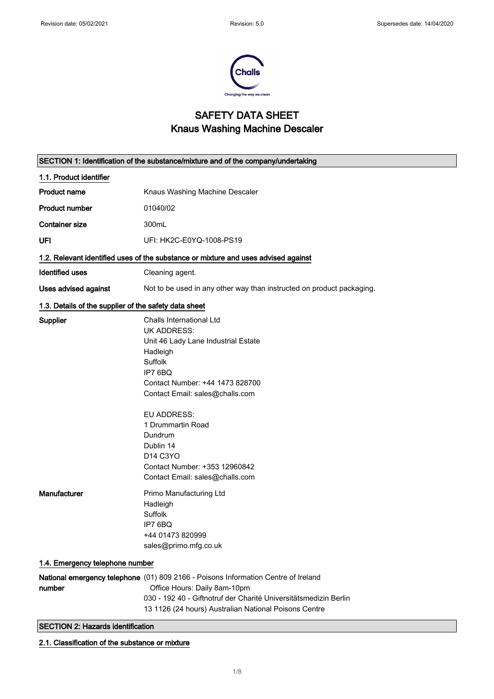

## SAFETY DATA SHEET Knaus Washing Machine Descaler

|                                                                                    | SECTION 1: Identification of the substance/mixture and of the company/undertaking                                                                                                                                                                                                                                                         |  |
|------------------------------------------------------------------------------------|-------------------------------------------------------------------------------------------------------------------------------------------------------------------------------------------------------------------------------------------------------------------------------------------------------------------------------------------|--|
| 1.1. Product identifier                                                            |                                                                                                                                                                                                                                                                                                                                           |  |
| <b>Product name</b>                                                                | Knaus Washing Machine Descaler                                                                                                                                                                                                                                                                                                            |  |
| <b>Product number</b>                                                              | 01040/02                                                                                                                                                                                                                                                                                                                                  |  |
| <b>Container size</b>                                                              | 300mL                                                                                                                                                                                                                                                                                                                                     |  |
| UFI                                                                                | UFI: HK2C-E0YQ-1008-PS19                                                                                                                                                                                                                                                                                                                  |  |
| 1.2. Relevant identified uses of the substance or mixture and uses advised against |                                                                                                                                                                                                                                                                                                                                           |  |
| Identified uses                                                                    | Cleaning agent.                                                                                                                                                                                                                                                                                                                           |  |
| Uses advised against                                                               | Not to be used in any other way than instructed on product packaging.                                                                                                                                                                                                                                                                     |  |
| 1.3. Details of the supplier of the safety data sheet                              |                                                                                                                                                                                                                                                                                                                                           |  |
| Supplier                                                                           | Challs International Ltd<br><b>UK ADDRESS:</b><br>Unit 46 Lady Lane Industrial Estate<br>Hadleigh<br>Suffolk<br>IP7 6BQ<br>Contact Number: +44 1473 828700<br>Contact Email: sales@challs.com<br>EU ADDRESS:<br>1 Drummartin Road<br>Dundrum<br>Dublin 14<br>D14 C3YO<br>Contact Number: +353 12960842<br>Contact Email: sales@challs.com |  |
| Manufacturer                                                                       | Primo Manufacturing Ltd<br>Hadleigh<br>Suffolk<br>IP7 6BQ<br>+44 01473 820999<br>sales@primo.mfg.co.uk                                                                                                                                                                                                                                    |  |
| 1.4. Emergency telephone number                                                    |                                                                                                                                                                                                                                                                                                                                           |  |
| number                                                                             | National emergency telephone (01) 809 2166 - Poisons Information Centre of Ireland<br>Office Hours: Daily 8am-10pm<br>030 - 192 40 - Giftnotruf der Charité Universitätsmedizin Berlin<br>13 1126 (24 hours) Australian National Poisons Centre                                                                                           |  |
| <b>SECTION 2: Hazards identification</b>                                           |                                                                                                                                                                                                                                                                                                                                           |  |

2.1. Classification of the substance or mixture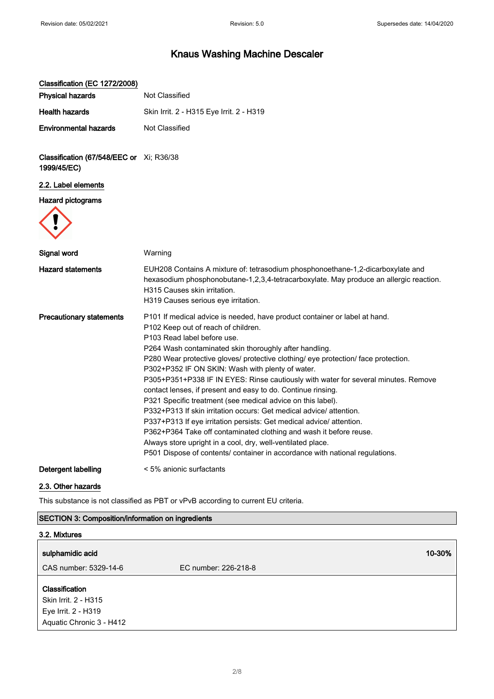# Knaus Washing Machine Descaler

| Classification (EC 1272/2008)                           |                                                                                                                                                                                                                                                                                                                                                                                                                                                                                                                                                                                                                                                                                                                                                                                                                                                                                                                                              |
|---------------------------------------------------------|----------------------------------------------------------------------------------------------------------------------------------------------------------------------------------------------------------------------------------------------------------------------------------------------------------------------------------------------------------------------------------------------------------------------------------------------------------------------------------------------------------------------------------------------------------------------------------------------------------------------------------------------------------------------------------------------------------------------------------------------------------------------------------------------------------------------------------------------------------------------------------------------------------------------------------------------|
| <b>Physical hazards</b>                                 | Not Classified                                                                                                                                                                                                                                                                                                                                                                                                                                                                                                                                                                                                                                                                                                                                                                                                                                                                                                                               |
| <b>Health hazards</b>                                   | Skin Irrit. 2 - H315 Eye Irrit. 2 - H319                                                                                                                                                                                                                                                                                                                                                                                                                                                                                                                                                                                                                                                                                                                                                                                                                                                                                                     |
| <b>Environmental hazards</b>                            | Not Classified                                                                                                                                                                                                                                                                                                                                                                                                                                                                                                                                                                                                                                                                                                                                                                                                                                                                                                                               |
| Classification (67/548/EEC or Xi; R36/38<br>1999/45/EC) |                                                                                                                                                                                                                                                                                                                                                                                                                                                                                                                                                                                                                                                                                                                                                                                                                                                                                                                                              |
| 2.2. Label elements                                     |                                                                                                                                                                                                                                                                                                                                                                                                                                                                                                                                                                                                                                                                                                                                                                                                                                                                                                                                              |
| <b>Hazard pictograms</b>                                |                                                                                                                                                                                                                                                                                                                                                                                                                                                                                                                                                                                                                                                                                                                                                                                                                                                                                                                                              |
| Signal word                                             | Warning                                                                                                                                                                                                                                                                                                                                                                                                                                                                                                                                                                                                                                                                                                                                                                                                                                                                                                                                      |
| <b>Hazard statements</b>                                | EUH208 Contains A mixture of: tetrasodium phosphonoethane-1,2-dicarboxylate and<br>hexasodium phosphonobutane-1,2,3,4-tetracarboxylate. May produce an allergic reaction.<br>H315 Causes skin irritation.<br>H319 Causes serious eye irritation.                                                                                                                                                                                                                                                                                                                                                                                                                                                                                                                                                                                                                                                                                             |
| <b>Precautionary statements</b>                         | P101 If medical advice is needed, have product container or label at hand.<br>P102 Keep out of reach of children.<br>P103 Read label before use.<br>P264 Wash contaminated skin thoroughly after handling.<br>P280 Wear protective gloves/ protective clothing/ eye protection/ face protection.<br>P302+P352 IF ON SKIN: Wash with plenty of water.<br>P305+P351+P338 IF IN EYES: Rinse cautiously with water for several minutes. Remove<br>contact lenses, if present and easy to do. Continue rinsing.<br>P321 Specific treatment (see medical advice on this label).<br>P332+P313 If skin irritation occurs: Get medical advice/attention.<br>P337+P313 If eye irritation persists: Get medical advice/ attention.<br>P362+P364 Take off contaminated clothing and wash it before reuse.<br>Always store upright in a cool, dry, well-ventilated place.<br>P501 Dispose of contents/ container in accordance with national regulations. |
| <b>Detergent labelling</b>                              | < 5% anionic surfactants                                                                                                                                                                                                                                                                                                                                                                                                                                                                                                                                                                                                                                                                                                                                                                                                                                                                                                                     |
| 2.3. Other hazards                                      |                                                                                                                                                                                                                                                                                                                                                                                                                                                                                                                                                                                                                                                                                                                                                                                                                                                                                                                                              |
|                                                         | This substance is not classified as PBT or vPvB according to current EU criteria.                                                                                                                                                                                                                                                                                                                                                                                                                                                                                                                                                                                                                                                                                                                                                                                                                                                            |
| SECTION 3: Composition/information on ingredients       |                                                                                                                                                                                                                                                                                                                                                                                                                                                                                                                                                                                                                                                                                                                                                                                                                                                                                                                                              |
| 3.2. Mixtures                                           |                                                                                                                                                                                                                                                                                                                                                                                                                                                                                                                                                                                                                                                                                                                                                                                                                                                                                                                                              |
| sulphamidic acid                                        | 10-30%                                                                                                                                                                                                                                                                                                                                                                                                                                                                                                                                                                                                                                                                                                                                                                                                                                                                                                                                       |

CAS number: 5329-14-6 EC number: 226-218-8

#### Classification

Skin Irrit. 2 - H315 Eye Irrit. 2 - H319 Aquatic Chronic 3 - H412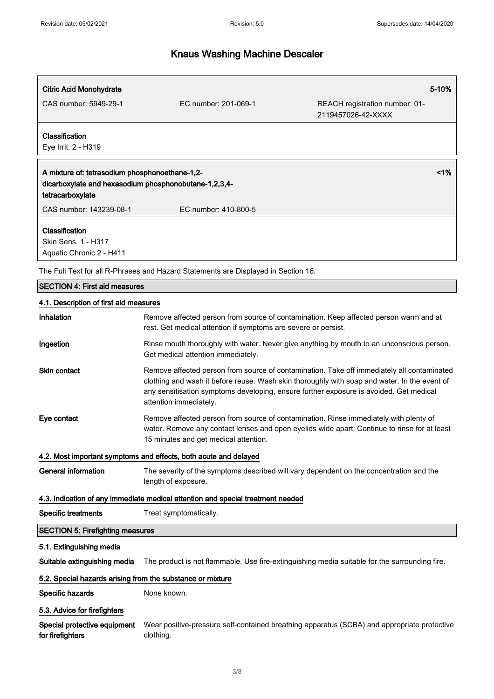| Citric Acid Monohydrate<br>CAS number: 5949-29-1                                                                                                       | EC number: 201-069-1                                                               | REACH registration number: 01-<br>2119457026-42-XXXX | 5-10% |
|--------------------------------------------------------------------------------------------------------------------------------------------------------|------------------------------------------------------------------------------------|------------------------------------------------------|-------|
| Classification<br>Eye Irrit. 2 - H319                                                                                                                  |                                                                                    |                                                      |       |
| A mixture of: tetrasodium phosphonoethane-1,2-<br>dicarboxylate and hexasodium phosphonobutane-1,2,3,4-<br>tetracarboxylate<br>CAS number: 143239-08-1 | EC number: 410-800-5                                                               |                                                      | $1\%$ |
| Classification<br>Skin Sens. 1 - H317<br>Aquatic Chronic 2 - H411                                                                                      |                                                                                    |                                                      |       |
|                                                                                                                                                        | The Full Text for all R-Phrases and Hazard Statements are Displayed in Section 16. |                                                      |       |

### SECTION 4: First aid measures

#### 4.1. Description of first aid measures

| Inhalation                                                       | Remove affected person from source of contamination. Keep affected person warm and at<br>rest. Get medical attention if symptoms are severe or persist.                                                                                                                                                        |  |
|------------------------------------------------------------------|----------------------------------------------------------------------------------------------------------------------------------------------------------------------------------------------------------------------------------------------------------------------------------------------------------------|--|
| Ingestion                                                        | Rinse mouth thoroughly with water. Never give anything by mouth to an unconscious person.<br>Get medical attention immediately.                                                                                                                                                                                |  |
| <b>Skin contact</b>                                              | Remove affected person from source of contamination. Take off immediately all contaminated<br>clothing and wash it before reuse. Wash skin thoroughly with soap and water. In the event of<br>any sensitisation symptoms developing, ensure further exposure is avoided. Get medical<br>attention immediately. |  |
| Eye contact                                                      | Remove affected person from source of contamination. Rinse immediately with plenty of<br>water. Remove any contact lenses and open eyelids wide apart. Continue to rinse for at least<br>15 minutes and get medical attention.                                                                                 |  |
| 4.2. Most important symptoms and effects, both acute and delayed |                                                                                                                                                                                                                                                                                                                |  |
| <b>General information</b>                                       | The severity of the symptoms described will vary dependent on the concentration and the<br>length of exposure.                                                                                                                                                                                                 |  |
|                                                                  | 4.3. Indication of any immediate medical attention and special treatment needed                                                                                                                                                                                                                                |  |
| <b>Specific treatments</b>                                       | Treat symptomatically.                                                                                                                                                                                                                                                                                         |  |
| <b>SECTION 5: Firefighting measures</b>                          |                                                                                                                                                                                                                                                                                                                |  |
| 5.1. Extinguishing media                                         |                                                                                                                                                                                                                                                                                                                |  |
| Suitable extinguishing media                                     | The product is not flammable. Use fire-extinguishing media suitable for the surrounding fire.                                                                                                                                                                                                                  |  |
| 5.2. Special hazards arising from the substance or mixture       |                                                                                                                                                                                                                                                                                                                |  |
| Specific hazards                                                 | None known.                                                                                                                                                                                                                                                                                                    |  |
| 5.3. Advice for firefighters                                     |                                                                                                                                                                                                                                                                                                                |  |
| Special protective equipment<br>for firefighters                 | Wear positive-pressure self-contained breathing apparatus (SCBA) and appropriate protective<br>clothing.                                                                                                                                                                                                       |  |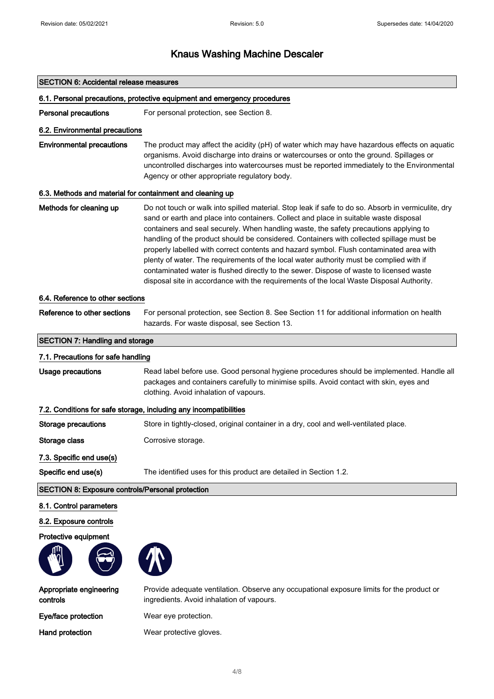| <b>SECTION 6: Accidental release measures</b>                             |                                                                                                                                                                                                                                                                                                                                                                                                                                                                                                                                                                                                                                                                                                                                                               |  |
|---------------------------------------------------------------------------|---------------------------------------------------------------------------------------------------------------------------------------------------------------------------------------------------------------------------------------------------------------------------------------------------------------------------------------------------------------------------------------------------------------------------------------------------------------------------------------------------------------------------------------------------------------------------------------------------------------------------------------------------------------------------------------------------------------------------------------------------------------|--|
| 6.1. Personal precautions, protective equipment and emergency procedures  |                                                                                                                                                                                                                                                                                                                                                                                                                                                                                                                                                                                                                                                                                                                                                               |  |
| <b>Personal precautions</b>                                               | For personal protection, see Section 8.                                                                                                                                                                                                                                                                                                                                                                                                                                                                                                                                                                                                                                                                                                                       |  |
| 6.2. Environmental precautions                                            |                                                                                                                                                                                                                                                                                                                                                                                                                                                                                                                                                                                                                                                                                                                                                               |  |
| <b>Environmental precautions</b>                                          | The product may affect the acidity (pH) of water which may have hazardous effects on aquatic<br>organisms. Avoid discharge into drains or watercourses or onto the ground. Spillages or<br>uncontrolled discharges into watercourses must be reported immediately to the Environmental<br>Agency or other appropriate regulatory body.                                                                                                                                                                                                                                                                                                                                                                                                                        |  |
| 6.3. Methods and material for containment and cleaning up                 |                                                                                                                                                                                                                                                                                                                                                                                                                                                                                                                                                                                                                                                                                                                                                               |  |
| Methods for cleaning up                                                   | Do not touch or walk into spilled material. Stop leak if safe to do so. Absorb in vermiculite, dry<br>sand or earth and place into containers. Collect and place in suitable waste disposal<br>containers and seal securely. When handling waste, the safety precautions applying to<br>handling of the product should be considered. Containers with collected spillage must be<br>properly labelled with correct contents and hazard symbol. Flush contaminated area with<br>plenty of water. The requirements of the local water authority must be complied with if<br>contaminated water is flushed directly to the sewer. Dispose of waste to licensed waste<br>disposal site in accordance with the requirements of the local Waste Disposal Authority. |  |
| 6.4. Reference to other sections                                          |                                                                                                                                                                                                                                                                                                                                                                                                                                                                                                                                                                                                                                                                                                                                                               |  |
| Reference to other sections                                               | For personal protection, see Section 8. See Section 11 for additional information on health<br>hazards. For waste disposal, see Section 13.                                                                                                                                                                                                                                                                                                                                                                                                                                                                                                                                                                                                                   |  |
| <b>SECTION 7: Handling and storage</b>                                    |                                                                                                                                                                                                                                                                                                                                                                                                                                                                                                                                                                                                                                                                                                                                                               |  |
| 7.1. Precautions for safe handling                                        |                                                                                                                                                                                                                                                                                                                                                                                                                                                                                                                                                                                                                                                                                                                                                               |  |
| <b>Usage precautions</b>                                                  | Read label before use. Good personal hygiene procedures should be implemented. Handle all<br>packages and containers carefully to minimise spills. Avoid contact with skin, eyes and<br>clothing. Avoid inhalation of vapours.                                                                                                                                                                                                                                                                                                                                                                                                                                                                                                                                |  |
|                                                                           | 7.2. Conditions for safe storage, including any incompatibilities                                                                                                                                                                                                                                                                                                                                                                                                                                                                                                                                                                                                                                                                                             |  |
| <b>Storage precautions</b>                                                | Store in tightly-closed, original container in a dry, cool and well-ventilated place.                                                                                                                                                                                                                                                                                                                                                                                                                                                                                                                                                                                                                                                                         |  |
| Storage class                                                             | Corrosive storage.                                                                                                                                                                                                                                                                                                                                                                                                                                                                                                                                                                                                                                                                                                                                            |  |
| 7.3. Specific end use(s)                                                  |                                                                                                                                                                                                                                                                                                                                                                                                                                                                                                                                                                                                                                                                                                                                                               |  |
| Specific end use(s)                                                       | The identified uses for this product are detailed in Section 1.2.                                                                                                                                                                                                                                                                                                                                                                                                                                                                                                                                                                                                                                                                                             |  |
| <b>SECTION 8: Exposure controls/Personal protection</b>                   |                                                                                                                                                                                                                                                                                                                                                                                                                                                                                                                                                                                                                                                                                                                                                               |  |
| 8.1. Control parameters<br>8.2. Exposure controls<br>Protective equipment |                                                                                                                                                                                                                                                                                                                                                                                                                                                                                                                                                                                                                                                                                                                                                               |  |
|                                                                           |                                                                                                                                                                                                                                                                                                                                                                                                                                                                                                                                                                                                                                                                                                                                                               |  |

Appropriate engineering controls

Provide adequate ventilation. Observe any occupational exposure limits for the product or ingredients. Avoid inhalation of vapours.

Eye/face protection Wear eye protection.

Hand protection Wear protective gloves.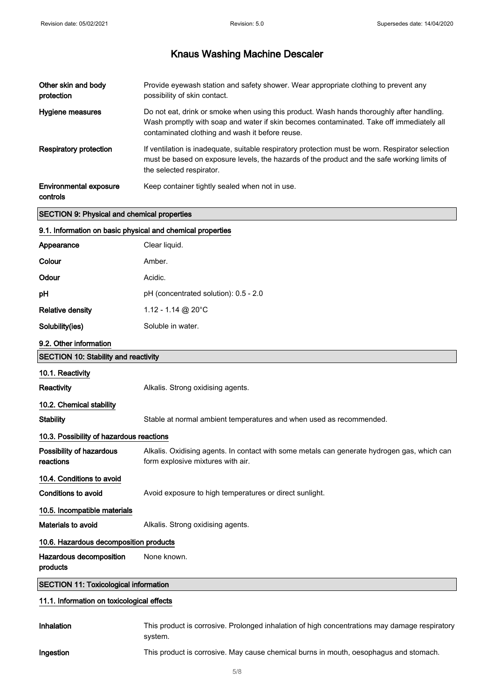| Other skin and body<br>protection  | Provide eyewash station and safety shower. Wear appropriate clothing to prevent any<br>possibility of skin contact.                                                                                                                      |
|------------------------------------|------------------------------------------------------------------------------------------------------------------------------------------------------------------------------------------------------------------------------------------|
| Hygiene measures                   | Do not eat, drink or smoke when using this product. Wash hands thoroughly after handling.<br>Wash promptly with soap and water if skin becomes contaminated. Take off immediately all<br>contaminated clothing and wash it before reuse. |
| Respiratory protection             | If ventilation is inadequate, suitable respiratory protection must be worn. Respirator selection<br>must be based on exposure levels, the hazards of the product and the safe working limits of<br>the selected respirator.              |
| Environmental exposure<br>controls | Keep container tightly sealed when not in use.                                                                                                                                                                                           |

### SECTION 9: Physical and chemical properties 9.1. Information on basic physical and chemical properties

| 9. 1. milomaalon on basic priysical and chemical properties |                                                                                                                                  |  |
|-------------------------------------------------------------|----------------------------------------------------------------------------------------------------------------------------------|--|
| Appearance                                                  | Clear liquid.                                                                                                                    |  |
| Colour                                                      | Amber.                                                                                                                           |  |
| Odour                                                       | Acidic.                                                                                                                          |  |
| pН                                                          | pH (concentrated solution): 0.5 - 2.0                                                                                            |  |
| <b>Relative density</b>                                     | 1.12 - 1.14 @ 20°C                                                                                                               |  |
| Solubility(ies)                                             | Soluble in water.                                                                                                                |  |
| 9.2. Other information                                      |                                                                                                                                  |  |
| <b>SECTION 10: Stability and reactivity</b>                 |                                                                                                                                  |  |
| 10.1. Reactivity                                            |                                                                                                                                  |  |
| Reactivity                                                  | Alkalis. Strong oxidising agents.                                                                                                |  |
| 10.2. Chemical stability                                    |                                                                                                                                  |  |
| <b>Stability</b>                                            | Stable at normal ambient temperatures and when used as recommended.                                                              |  |
| 10.3. Possibility of hazardous reactions                    |                                                                                                                                  |  |
| Possibility of hazardous<br>reactions                       | Alkalis. Oxidising agents. In contact with some metals can generate hydrogen gas, which can<br>form explosive mixtures with air. |  |
| 10.4. Conditions to avoid                                   |                                                                                                                                  |  |
| <b>Conditions to avoid</b>                                  | Avoid exposure to high temperatures or direct sunlight.                                                                          |  |
| 10.5. Incompatible materials                                |                                                                                                                                  |  |
| Materials to avoid                                          | Alkalis. Strong oxidising agents.                                                                                                |  |
| 10.6. Hazardous decomposition products                      |                                                                                                                                  |  |
| Hazardous decomposition<br>products                         | None known.                                                                                                                      |  |
| <b>SECTION 11: Toxicological information</b>                |                                                                                                                                  |  |
| 11.1. Information on toxicological effects                  |                                                                                                                                  |  |

| <b>Inhalation</b> | This product is corrosive. Prolonged inhalation of high concentrations may damage respiratory<br>svstem. |
|-------------------|----------------------------------------------------------------------------------------------------------|
| Ingestion         | This product is corrosive. May cause chemical burns in mouth, oesophagus and stomach.                    |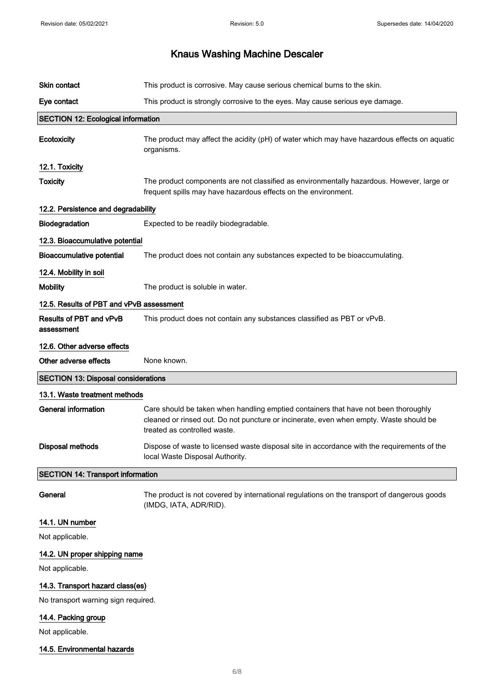| Skin contact                               | This product is corrosive. May cause serious chemical burns to the skin.                                                                                                                                      |  |
|--------------------------------------------|---------------------------------------------------------------------------------------------------------------------------------------------------------------------------------------------------------------|--|
| Eye contact                                | This product is strongly corrosive to the eyes. May cause serious eye damage.                                                                                                                                 |  |
| <b>SECTION 12: Ecological information</b>  |                                                                                                                                                                                                               |  |
| Ecotoxicity                                | The product may affect the acidity (pH) of water which may have hazardous effects on aquatic<br>organisms.                                                                                                    |  |
| 12.1. Toxicity                             |                                                                                                                                                                                                               |  |
| <b>Toxicity</b>                            | The product components are not classified as environmentally hazardous. However, large or<br>frequent spills may have hazardous effects on the environment.                                                   |  |
| 12.2. Persistence and degradability        |                                                                                                                                                                                                               |  |
| Biodegradation                             | Expected to be readily biodegradable.                                                                                                                                                                         |  |
| 12.3. Bioaccumulative potential            |                                                                                                                                                                                                               |  |
| <b>Bioaccumulative potential</b>           | The product does not contain any substances expected to be bioaccumulating.                                                                                                                                   |  |
| 12.4. Mobility in soil                     |                                                                                                                                                                                                               |  |
| <b>Mobility</b>                            | The product is soluble in water.                                                                                                                                                                              |  |
| 12.5. Results of PBT and vPvB assessment   |                                                                                                                                                                                                               |  |
| Results of PBT and vPvB<br>assessment      | This product does not contain any substances classified as PBT or vPvB.                                                                                                                                       |  |
| 12.6. Other adverse effects                |                                                                                                                                                                                                               |  |
| Other adverse effects                      | None known.                                                                                                                                                                                                   |  |
| <b>SECTION 13: Disposal considerations</b> |                                                                                                                                                                                                               |  |
| 13.1. Waste treatment methods              |                                                                                                                                                                                                               |  |
| <b>General information</b>                 | Care should be taken when handling emptied containers that have not been thoroughly<br>cleaned or rinsed out. Do not puncture or incinerate, even when empty. Waste should be<br>treated as controlled waste. |  |
| Disposal methods                           | Dispose of waste to licensed waste disposal site in accordance with the requirements of the<br>local Waste Disposal Authority.                                                                                |  |
| <b>SECTION 14: Transport information</b>   |                                                                                                                                                                                                               |  |
| General                                    | The product is not covered by international regulations on the transport of dangerous goods<br>(IMDG, IATA, ADR/RID).                                                                                         |  |
| 14.1. UN number                            |                                                                                                                                                                                                               |  |
| Not applicable.                            |                                                                                                                                                                                                               |  |
|                                            |                                                                                                                                                                                                               |  |
| 14.2. UN proper shipping name              |                                                                                                                                                                                                               |  |
| Not applicable.                            |                                                                                                                                                                                                               |  |
| 14.3. Transport hazard class(es)           |                                                                                                                                                                                                               |  |
| No transport warning sign required.        |                                                                                                                                                                                                               |  |
| 14.4. Packing group<br>Not applicable.     |                                                                                                                                                                                                               |  |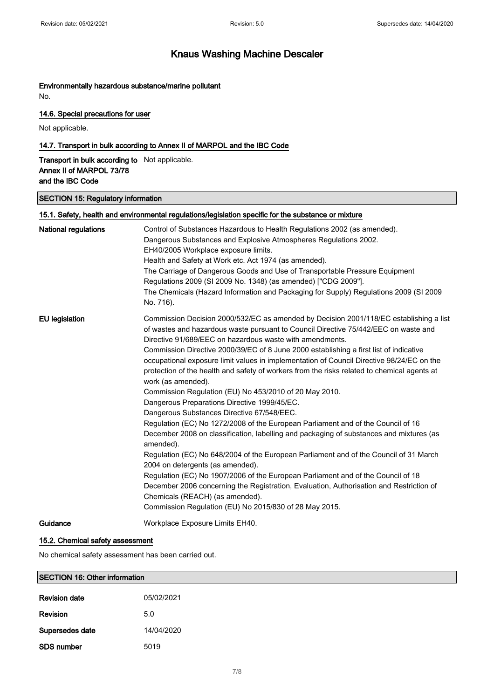### Environmentally hazardous substance/marine pollutant

No.

#### 14.6. Special precautions for user

Not applicable.

#### 14.7. Transport in bulk according to Annex II of MARPOL and the IBC Code

Transport in bulk according to Not applicable. Annex II of MARPOL 73/78 and the IBC Code

#### SECTION 15: Regulatory information

|                             | 15.1. Safety, health and environmental regulations/legislation specific for the substance or mixture                                                                                                                                                                                                                                                                                                                                                                                                                                                                                                                                                                                                                                                                                                                                                                                                                                                                                                                                                                                                                                                                                                                                                                                                               |
|-----------------------------|--------------------------------------------------------------------------------------------------------------------------------------------------------------------------------------------------------------------------------------------------------------------------------------------------------------------------------------------------------------------------------------------------------------------------------------------------------------------------------------------------------------------------------------------------------------------------------------------------------------------------------------------------------------------------------------------------------------------------------------------------------------------------------------------------------------------------------------------------------------------------------------------------------------------------------------------------------------------------------------------------------------------------------------------------------------------------------------------------------------------------------------------------------------------------------------------------------------------------------------------------------------------------------------------------------------------|
| <b>National regulations</b> | Control of Substances Hazardous to Health Regulations 2002 (as amended).<br>Dangerous Substances and Explosive Atmospheres Regulations 2002.<br>EH40/2005 Workplace exposure limits.<br>Health and Safety at Work etc. Act 1974 (as amended).<br>The Carriage of Dangerous Goods and Use of Transportable Pressure Equipment<br>Regulations 2009 (SI 2009 No. 1348) (as amended) ["CDG 2009"].<br>The Chemicals (Hazard Information and Packaging for Supply) Regulations 2009 (SI 2009<br>No. 716).                                                                                                                                                                                                                                                                                                                                                                                                                                                                                                                                                                                                                                                                                                                                                                                                               |
| <b>EU</b> legislation       | Commission Decision 2000/532/EC as amended by Decision 2001/118/EC establishing a list<br>of wastes and hazardous waste pursuant to Council Directive 75/442/EEC on waste and<br>Directive 91/689/EEC on hazardous waste with amendments.<br>Commission Directive 2000/39/EC of 8 June 2000 establishing a first list of indicative<br>occupational exposure limit values in implementation of Council Directive 98/24/EC on the<br>protection of the health and safety of workers from the risks related to chemical agents at<br>work (as amended).<br>Commission Regulation (EU) No 453/2010 of 20 May 2010.<br>Dangerous Preparations Directive 1999/45/EC.<br>Dangerous Substances Directive 67/548/EEC.<br>Regulation (EC) No 1272/2008 of the European Parliament and of the Council of 16<br>December 2008 on classification, labelling and packaging of substances and mixtures (as<br>amended).<br>Regulation (EC) No 648/2004 of the European Parliament and of the Council of 31 March<br>2004 on detergents (as amended).<br>Regulation (EC) No 1907/2006 of the European Parliament and of the Council of 18<br>December 2006 concerning the Registration, Evaluation, Authorisation and Restriction of<br>Chemicals (REACH) (as amended).<br>Commission Regulation (EU) No 2015/830 of 28 May 2015. |
| Guidance                    | Workplace Exposure Limits EH40.                                                                                                                                                                                                                                                                                                                                                                                                                                                                                                                                                                                                                                                                                                                                                                                                                                                                                                                                                                                                                                                                                                                                                                                                                                                                                    |

#### 15.2. Chemical safety assessment

No chemical safety assessment has been carried out.

# SECTION 16: Other information **Revision date** 05/02/2021 Revision 5.0 Supersedes date 14/04/2020 SDS number 5019